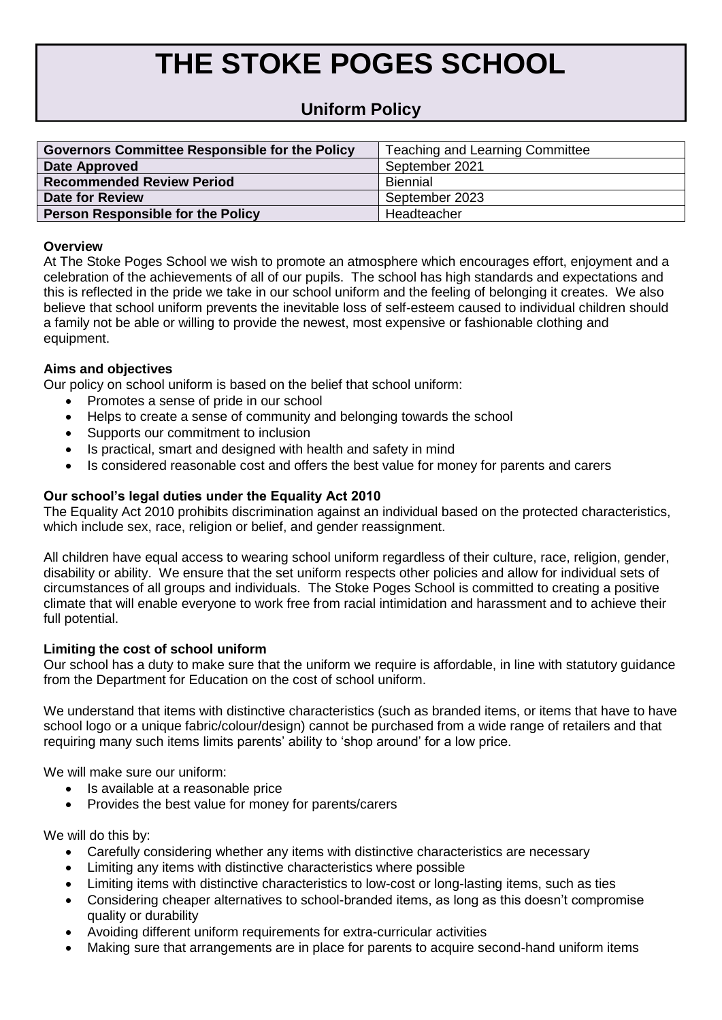# **THE STOKE POGES SCHOOL**

# **Uniform Policy**

| <b>Governors Committee Responsible for the Policy</b> | <b>Teaching and Learning Committee</b> |
|-------------------------------------------------------|----------------------------------------|
| Date Approved                                         | September 2021                         |
| <b>Recommended Review Period</b>                      | <b>Biennial</b>                        |
| <b>Date for Review</b>                                | September 2023                         |
| <b>Person Responsible for the Policy</b>              | Headteacher                            |

### **Overview**

At The Stoke Poges School we wish to promote an atmosphere which encourages effort, enjoyment and a celebration of the achievements of all of our pupils. The school has high standards and expectations and this is reflected in the pride we take in our school uniform and the feeling of belonging it creates. We also believe that school uniform prevents the inevitable loss of self-esteem caused to individual children should a family not be able or willing to provide the newest, most expensive or fashionable clothing and equipment.

# **Aims and objectives**

Our policy on school uniform is based on the belief that school uniform:

- Promotes a sense of pride in our school
- Helps to create a sense of community and belonging towards the school
- Supports our commitment to inclusion
- Is practical, smart and designed with health and safety in mind
- Is considered reasonable cost and offers the best value for money for parents and carers

# **Our school's legal duties under the Equality Act 2010**

The Equality Act 2010 prohibits discrimination against an individual based on the protected characteristics, which include sex, race, religion or belief, and gender reassignment.

All children have equal access to wearing school uniform regardless of their culture, race, religion, gender, disability or ability. We ensure that the set uniform respects other policies and allow for individual sets of circumstances of all groups and individuals. The Stoke Poges School is committed to creating a positive climate that will enable everyone to work free from racial intimidation and harassment and to achieve their full potential.

### **Limiting the cost of school uniform**

Our school has a duty to make sure that the uniform we require is affordable, in line with statutory guidance from the Department for Education on the cost of school uniform.

We understand that items with distinctive characteristics (such as branded items, or items that have to have school logo or a unique fabric/colour/design) cannot be purchased from a wide range of retailers and that requiring many such items limits parents' ability to 'shop around' for a low price.

We will make sure our uniform:

- Is available at a reasonable price
- Provides the best value for money for parents/carers

We will do this by:

- Carefully considering whether any items with distinctive characteristics are necessary
- Limiting any items with distinctive characteristics where possible
- Limiting items with distinctive characteristics to low-cost or long-lasting items, such as ties
- Considering cheaper alternatives to school-branded items, as long as this doesn't compromise quality or durability
- Avoiding different uniform requirements for extra-curricular activities
- Making sure that arrangements are in place for parents to acquire second-hand uniform items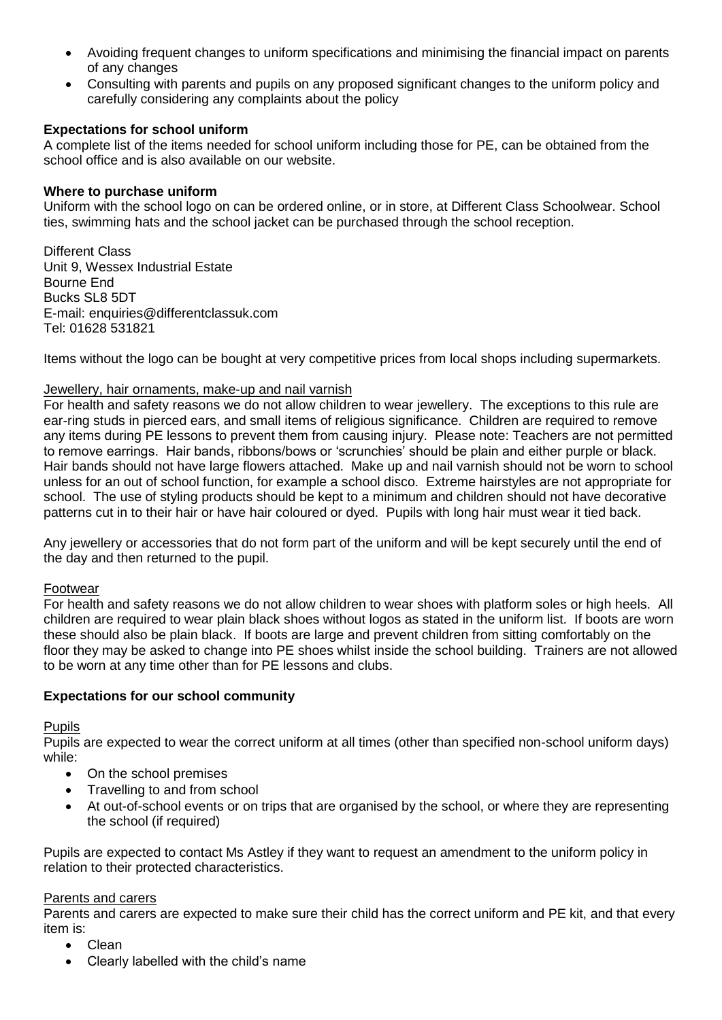- Avoiding frequent changes to uniform specifications and minimising the financial impact on parents of any changes
- Consulting with parents and pupils on any proposed significant changes to the uniform policy and carefully considering any complaints about the policy

# **Expectations for school uniform**

A complete list of the items needed for school uniform including those for PE, can be obtained from the school office and is also available on our website.

# **Where to purchase uniform**

Uniform with the school logo on can be ordered online, or in store, at Different Class Schoolwear. School ties, swimming hats and the school jacket can be purchased through the school reception.

Different Class Unit 9, Wessex Industrial Estate Bourne End Bucks SL8 5DT E-mail: [enquiries@differentclassuk.com](mailto:Enquiries@Differentclassuk.com) Tel: 01628 531821

Items without the logo can be bought at very competitive prices from local shops including supermarkets.

# Jewellery, hair ornaments, make-up and nail varnish

For health and safety reasons we do not allow children to wear jewellery. The exceptions to this rule are ear-ring studs in pierced ears, and small items of religious significance. Children are required to remove any items during PE lessons to prevent them from causing injury. Please note: Teachers are not permitted to remove earrings. Hair bands, ribbons/bows or 'scrunchies' should be plain and either purple or black. Hair bands should not have large flowers attached. Make up and nail varnish should not be worn to school unless for an out of school function, for example a school disco. Extreme hairstyles are not appropriate for school. The use of styling products should be kept to a minimum and children should not have decorative patterns cut in to their hair or have hair coloured or dyed. Pupils with long hair must wear it tied back.

Any jewellery or accessories that do not form part of the uniform and will be kept securely until the end of the day and then returned to the pupil.

### Footwear

For health and safety reasons we do not allow children to wear shoes with platform soles or high heels. All children are required to wear plain black shoes without logos as stated in the uniform list. If boots are worn these should also be plain black. If boots are large and prevent children from sitting comfortably on the floor they may be asked to change into PE shoes whilst inside the school building. Trainers are not allowed to be worn at any time other than for PE lessons and clubs.

### **Expectations for our school community**

Pupils

Pupils are expected to wear the correct uniform at all times (other than specified non-school uniform days) while:

- On the school premises
- Travelling to and from school
- At out-of-school events or on trips that are organised by the school, or where they are representing the school (if required)

Pupils are expected to contact Ms Astley if they want to request an amendment to the uniform policy in relation to their protected characteristics.

### Parents and carers

Parents and carers are expected to make sure their child has the correct uniform and PE kit, and that every item is:

- Clean
- Clearly labelled with the child's name